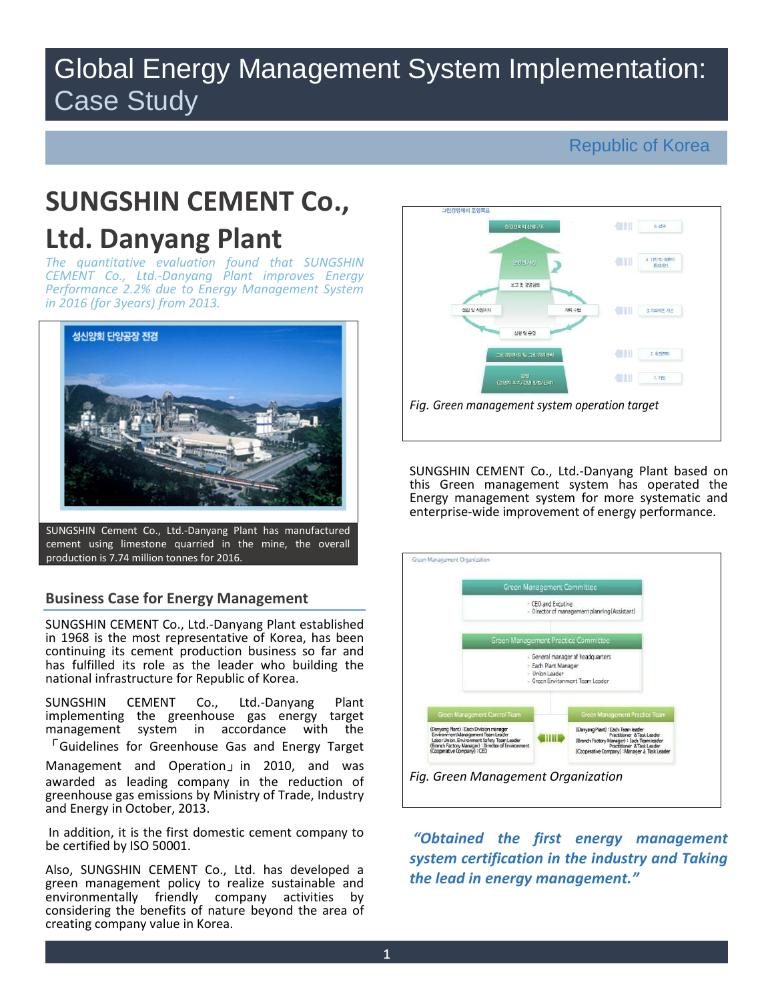# Global Energy Management System Implementation: Case Study

# Republic of Korea

# **SUNGSHIN CEMENT Co., Ltd. Danyang Plant**

*The quantitative evaluation found that SUNGSHIN CEMENT Co., Ltd.-Danyang Plant improves Energy Performance 2.2% due to Energy Management System in 2016 (for 3years) from 2013.* 



SUNGSHIN Cement Co., Ltd.-Danyang Plant has manufactured cement using limestone quarried in the mine, the overall production is 7.74 million tonnes for 2016.

# **Business Case for Energy Management**

SUNGSHIN CEMENT Co., Ltd.-Danyang Plant established in 1968 is the most representative of Korea, has been continuing its cement production business so far and has fulfilled its role as the leader who building the national infrastructure for Republic of Korea.

SUNGSHIN CEMENT Co., Ltd.-Danyang Plant implementing the greenhouse gas energy target management system in accordance with the 「Guidelines for Greenhouse Gas and Energy Target

Management and Operation」in 2010, and was awarded as leading company in the reduction of greenhouse gas emissions by Ministry of Trade, Industry and Energy in October, 2013.

 In addition, it is the first domestic cement company to be certified by ISO 50001.

Also, SUNGSHIN CEMENT Co., Ltd. has developed a green management policy to realize sustainable and environmentally friendly company activities by considering the benefits of nature beyond the area of creating company value in Korea.



SUNGSHIN CEMENT Co., Ltd.-Danyang Plant based on this Green management system has operated the Energy management system for more systematic and enterprise-wide improvement of energy performance.



*"Obtained the first energy management system certification in the industry and Taking the lead in energy management."*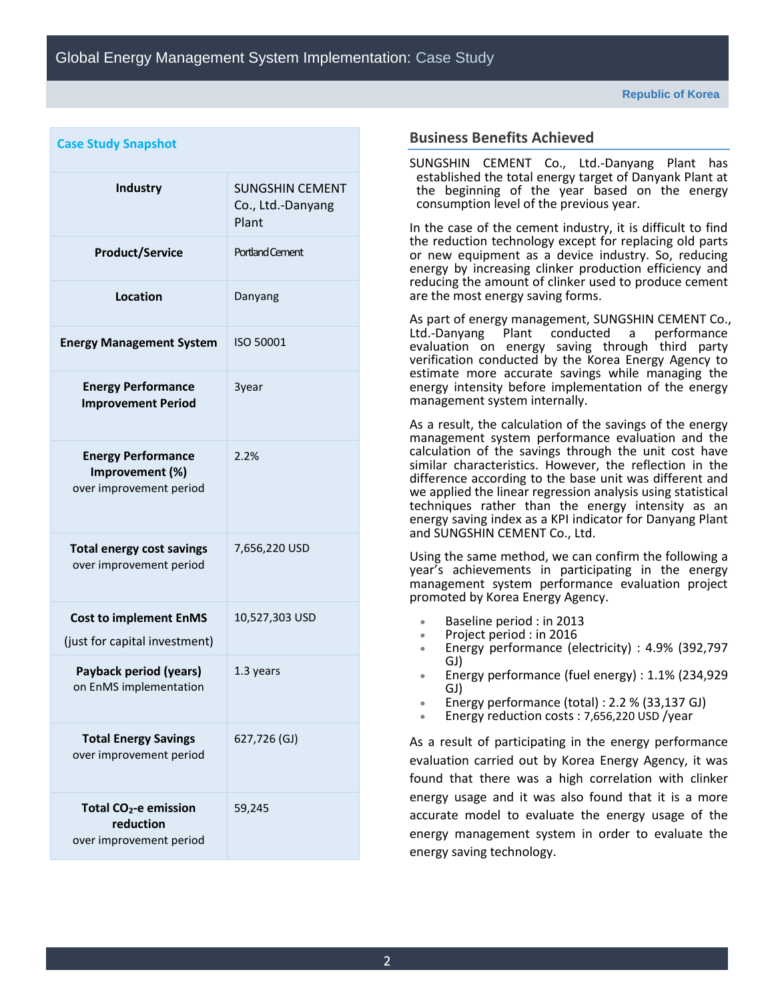| <b>Case Study Snapshot</b>                                                |                                                      |  |  |  |
|---------------------------------------------------------------------------|------------------------------------------------------|--|--|--|
| <b>Industry</b>                                                           | <b>SUNGSHIN CEMENT</b><br>Co., Ltd.-Danyang<br>Plant |  |  |  |
| <b>Product/Service</b>                                                    | <b>Portland Cement</b>                               |  |  |  |
| Location                                                                  | Danyang                                              |  |  |  |
| <b>Energy Management System</b>                                           | ISO 50001                                            |  |  |  |
| <b>Energy Performance</b><br><b>Improvement Period</b>                    | 3year                                                |  |  |  |
| <b>Energy Performance</b><br>Improvement (%)<br>over improvement period   | 2.2%                                                 |  |  |  |
| <b>Total energy cost savings</b><br>over improvement period               | 7,656,220 USD                                        |  |  |  |
| <b>Cost to implement EnMS</b><br>(just for capital investment)            | 10,527,303 USD                                       |  |  |  |
| Payback period (years)<br>on EnMS implementation                          | 1.3 years                                            |  |  |  |
| <b>Total Energy Savings</b><br>over improvement period                    | 627,726 (GJ)                                         |  |  |  |
| Total CO <sub>2</sub> -e emission<br>reduction<br>over improvement period | 59,245                                               |  |  |  |

# **Business Benefits Achieved**

SUNGSHIN CEMENT Co., Ltd.-Danyang Plant has established the total energy target of Danyank Plant at the beginning of the year based on the energy consumption level of the previous year.

In the case of the cement industry, it is difficult to find the reduction technology except for replacing old parts or new equipment as a device industry. So, reducing energy by increasing clinker production efficiency and reducing the amount of clinker used to produce cement are the most energy saving forms.

As part of energy management, SUNGSHIN CEMENT Co., Ltd.-Danyang Plant conducted a performance evaluation on energy saving through third party verification conducted by the Korea Energy Agency to estimate more accurate savings while managing the energy intensity before implementation of the energy management system internally.

As a result, the calculation of the savings of the energy management system performance evaluation and the calculation of the savings through the unit cost have similar characteristics. However, the reflection in the difference according to the base unit was different and we applied the linear regression analysis using statistical techniques rather than the energy intensity as an energy saving index as a KPI indicator for Danyang Plant and SUNGSHIN CEMENT Co., Ltd.

Using the same method, we can confirm the following a year's achievements in participating in the energy management system performance evaluation project promoted by Korea Energy Agency.

- Baseline period : in 2013
- Project period : in 2016
- Energy performance (electricity) : 4.9% (392,797 GJ)
- Energy performance (fuel energy) : 1.1% (234,929 GJ)
- Energy performance (total) : 2.2 % (33,137 GJ)
- Energy reduction costs : 7,656,220 USD /year

As a result of participating in the energy performance evaluation carried out by Korea Energy Agency, it was found that there was a high correlation with clinker energy usage and it was also found that it is a more accurate model to evaluate the energy usage of the energy management system in order to evaluate the energy saving technology.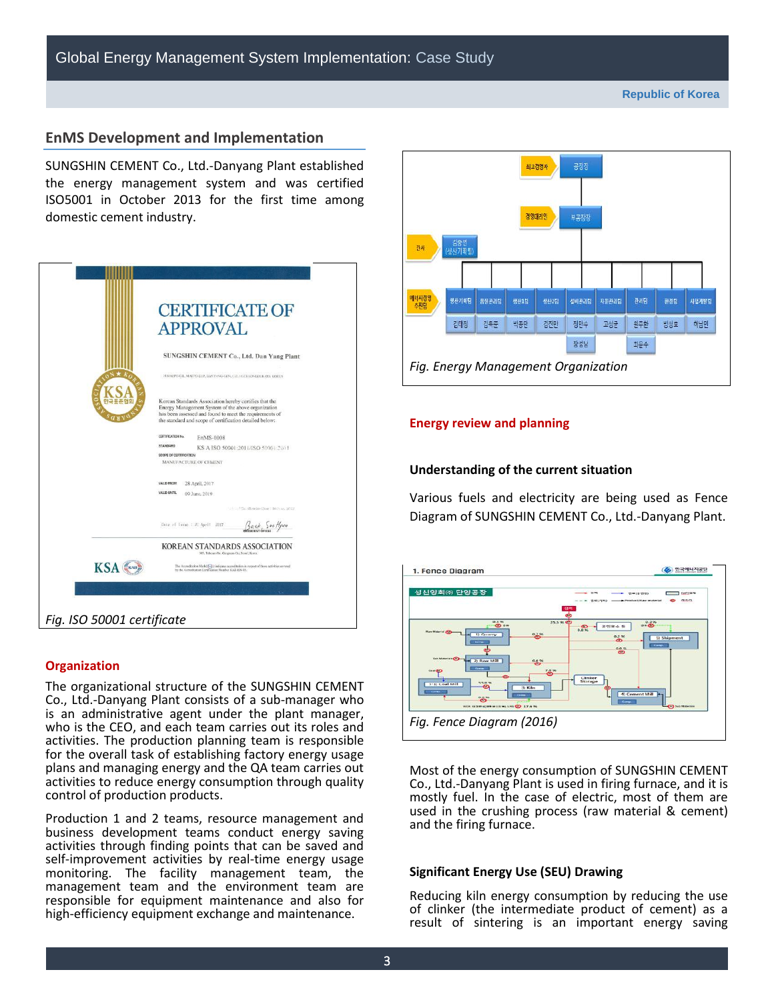## **EnMS Development and Implementation**

SUNGSHIN CEMENT Co., Ltd.-Danyang Plant established the energy management system and was certified ISO5001 in October 2013 for the first time among domestic cement industry.

|                            | <b>CERTIFICATE OF</b><br><b>APPROVAL</b>                                                                                                                                                                                           |
|----------------------------|------------------------------------------------------------------------------------------------------------------------------------------------------------------------------------------------------------------------------------|
|                            | SUNGSHIN CEMENT Co., Ltd. Dan Yang Plant                                                                                                                                                                                           |
|                            | IN MAEPO-GIL, MAEPO-EUP, DANYANG-GUN, CHUNGCHEONGBUK-DO, KOREA                                                                                                                                                                     |
|                            | Korean Standards Association hereby certifies that the<br>Energy Management System of the above organization<br>has been assessed and found to meet the requirements of<br>the standard and scope of certification detailed below: |
|                            | <b>CERTIFICATION No.</b><br>EnMS-0008                                                                                                                                                                                              |
|                            | STANDARD<br>KS A ISO 50001:2011/ISO 50001:2011                                                                                                                                                                                     |
|                            | SCOPE OF CERTIFICATION<br>MANUFACTURE OF CEMENT                                                                                                                                                                                    |
|                            | VALID FROM<br>28 April, 2017                                                                                                                                                                                                       |
|                            | VALID UNTIL<br>09 June, 2019                                                                                                                                                                                                       |
|                            | First Continenter Date : 10 June, 2013                                                                                                                                                                                             |
|                            | Dute of Issue : 20 April 2017                                                                                                                                                                                                      |
|                            | <b>KOREAN STANDARDS ASSOCIATION</b><br>305, Teheran-Ro, Gangnam-Go, Seoul, Korea                                                                                                                                                   |
| KSA                        | The Accreditation Mark( <a> <a> </a> (a) indicates accreditation in respect of those activities covered<br/>by the Accreditation Certification Number KAB-EN-03.</a>                                                               |
|                            |                                                                                                                                                                                                                                    |
|                            |                                                                                                                                                                                                                                    |
|                            |                                                                                                                                                                                                                                    |
| Fig. ISO 50001 certificate |                                                                                                                                                                                                                                    |

#### **Organization**

The organizational structure of the SUNGSHIN CEMENT Co., Ltd.-Danyang Plant consists of a sub-manager who is an administrative agent under the plant manager, who is the CEO, and each team carries out its roles and activities. The production planning team is responsible for the overall task of establishing factory energy usage plans and managing energy and the QA team carries out activities to reduce energy consumption through quality control of production products.

Production 1 and 2 teams, resource management and business development teams conduct energy saving activities through finding points that can be saved and self-improvement activities by real-time energy usage monitoring. The facility management team, the management team and the environment team are responsible for equipment maintenance and also for high-efficiency equipment exchange and maintenance.



#### **Energy review and planning**

#### **Understanding of the current situation**

Various fuels and electricity are being used as Fence Diagram of SUNGSHIN CEMENT Co., Ltd.-Danyang Plant.

| 1. Fence Diagram                                                                                                                                                          | <b>항국에니사공단</b><br>$\bullet$                                                                                       |
|---------------------------------------------------------------------------------------------------------------------------------------------------------------------------|-------------------------------------------------------------------------------------------------------------------|
| 성신양회㈜ 단양공장                                                                                                                                                                | 竹枝<br><b>In E13 N</b><br>On ag cas certain.<br>推进地<br>companies Pennings t/Stayer resalented<br>1544 (7993)<br>登鞋 |
| <b>D.H.W.</b><br><b>CD</b> OR<br><b>Raw Material (N)</b><br>0.7%<br>1) Quarry<br><b>Corp.</b><br><b>GAN MANUFACTS</b><br>2) Raw MIII<br>$-6.0 - 1$<br><b>Comma</b>        | 25.5 % 00<br>$ \bullet$<br>常型飲み業<br>œ<br>0.0 %<br>0.256<br>5) Shipment<br>ை<br><b>CEMMES</b><br>9.0%<br>$\alpha$  |
| $\bullet$<br><b>Geardin</b><br>55.8%<br>5-13 Coal Mill<br>cu.<br>35 Killer<br><b>THREE</b><br><b>CHH</b><br>$\ddot{\bullet}$<br>WORLD DOWN ACTIVITY AND LOTS CO., 17 A.M. | Clinker<br>Storage<br>4) Cement Mill<br><b>Roman</b><br><b>M</b> Suit Materials                                   |
| Fig. Fence Diagram (2016)                                                                                                                                                 |                                                                                                                   |

Most of the energy consumption of SUNGSHIN CEMENT Co., Ltd.-Danyang Plant is used in firing furnace, and it is mostly fuel. In the case of electric, most of them are used in the crushing process (raw material & cement) and the firing furnace.

#### **Significant Energy Use (SEU) Drawing**

Reducing kiln energy consumption by reducing the use of clinker (the intermediate product of cement) as a result of sintering is an important energy saving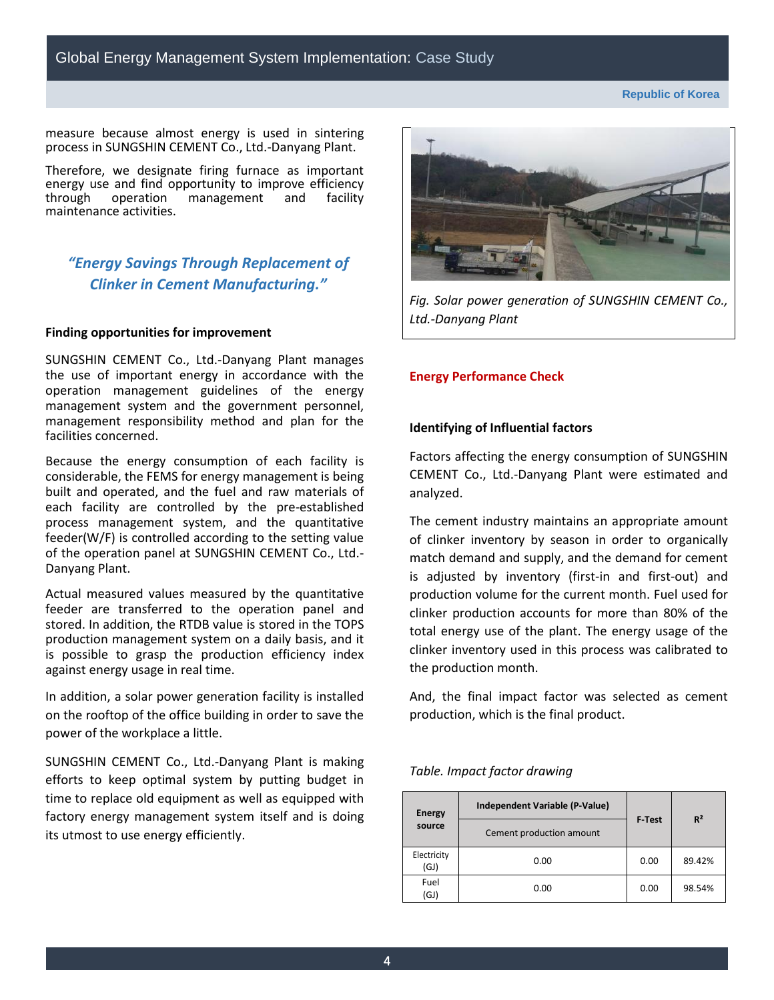**Republic of Korea**

measure because almost energy is used in sintering process in SUNGSHIN CEMENT Co., Ltd.-Danyang Plant.

Therefore, we designate firing furnace as important energy use and find opportunity to improve efficiency<br>through operation management and facility through operation maintenance activities.

# *"Energy Savings Through Replacement of Clinker in Cement Manufacturing."*

### **Finding opportunities for improvement**

SUNGSHIN CEMENT Co., Ltd.-Danyang Plant manages the use of important energy in accordance with the operation management guidelines of the energy management system and the government personnel, management responsibility method and plan for the facilities concerned.

Because the energy consumption of each facility is considerable, the FEMS for energy management is being built and operated, and the fuel and raw materials of each facility are controlled by the pre-established process management system, and the quantitative feeder(W/F) is controlled according to the setting value of the operation panel at SUNGSHIN CEMENT Co., Ltd.- Danyang Plant.

Actual measured values measured by the quantitative feeder are transferred to the operation panel and stored. In addition, the RTDB value is stored in the TOPS production management system on a daily basis, and it is possible to grasp the production efficiency index against energy usage in real time.

In addition, a solar power generation facility is installed on the rooftop of the office building in order to save the power of the workplace a little.

SUNGSHIN CEMENT Co., Ltd.-Danyang Plant is making efforts to keep optimal system by putting budget in time to replace old equipment as well as equipped with factory energy management system itself and is doing its utmost to use energy efficiently.



*Fig. Solar power generation of SUNGSHIN CEMENT Co., Ltd.-Danyang Plant*

#### **Energy Performance Check**

#### **Identifying of Influential factors**

Factors affecting the energy consumption of SUNGSHIN CEMENT Co., Ltd.-Danyang Plant were estimated and analyzed.

The cement industry maintains an appropriate amount of clinker inventory by season in order to organically match demand and supply, and the demand for cement is adjusted by inventory (first-in and first-out) and production volume for the current month. Fuel used for clinker production accounts for more than 80% of the total energy use of the plant. The energy usage of the clinker inventory used in this process was calibrated to the production month.

And, the final impact factor was selected as cement production, which is the final product.

#### *Table. Impact factor drawing*

| <b>Energy</b>                      | Independent Variable (P-Value) | <b>F</b> -Test | $R^2$  |
|------------------------------------|--------------------------------|----------------|--------|
| source<br>Cement production amount |                                |                |        |
| Electricity<br>(GJ)                | 0.00                           | 0.00           | 89.42% |
| Fuel<br>(GJ)                       | 0.00                           | 0.00           | 98.54% |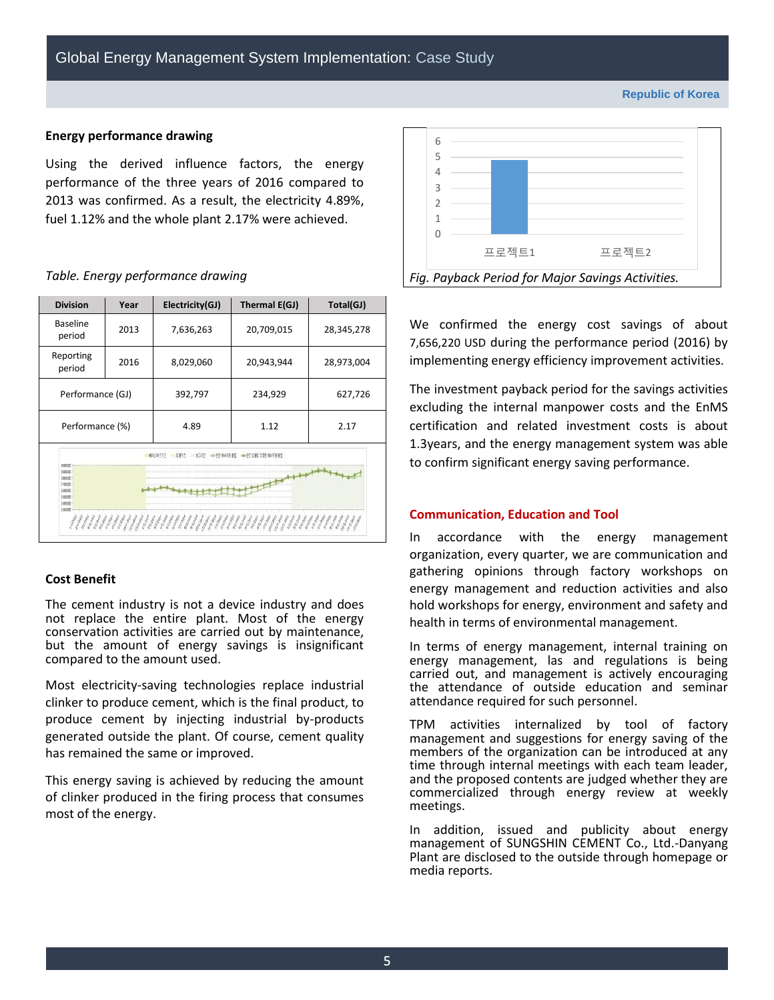#### **Republic of Korea**

#### **Energy performance drawing**

Using the derived influence factors, the energy performance of the three years of 2016 compared to 2013 was confirmed. As a result, the electricity 4.89%, fuel 1.12% and the whole plant 2.17% were achieved.

#### *Table. Energy performance drawing*

| <b>Division</b>                                                                   | Year | Electricity(GJ) | Thermal E(GJ) | Total(GJ)  |  |  |
|-----------------------------------------------------------------------------------|------|-----------------|---------------|------------|--|--|
| <b>Baseline</b><br>period                                                         | 2013 | 7,636,263       | 20,709,015    | 28,345,278 |  |  |
| Reporting<br>period                                                               | 2016 | 8,029,060       | 20,943,944    | 28,973,004 |  |  |
| Performance (GJ)                                                                  |      | 392,797         | 234,929       | 627,726    |  |  |
| Performance (%)                                                                   |      | 4.89            | 1.12          | 2.17       |  |  |
| 8277<br><b>97 XU23 85</b><br>+97:191 159 0.73 16                                  |      |                 |               |            |  |  |
| <b>M00000</b><br>1000000<br>18300000<br>11000000<br>1400000<br>1500000<br>1136000 |      |                 |               |            |  |  |
| 11000000                                                                          |      |                 |               |            |  |  |

## **Cost Benefit**

The cement industry is not a device industry and does not replace the entire plant. Most of the energy conservation activities are carried out by maintenance, but the amount of energy savings is insignificant compared to the amount used.

Most electricity-saving technologies replace industrial clinker to produce cement, which is the final product, to produce cement by injecting industrial by-products generated outside the plant. Of course, cement quality has remained the same or improved.

This energy saving is achieved by reducing the amount of clinker produced in the firing process that consumes most of the energy.



We confirmed the energy cost savings of about 7,656,220 USD during the performance period (2016) by implementing energy efficiency improvement activities.

The investment payback period for the savings activities excluding the internal manpower costs and the EnMS certification and related investment costs is about 1.3years, and the energy management system was able to confirm significant energy saving performance.

#### **Communication, Education and Tool**

In accordance with the energy management organization, every quarter, we are communication and gathering opinions through factory workshops on energy management and reduction activities and also hold workshops for energy, environment and safety and health in terms of environmental management.

In terms of energy management, internal training on energy management, las and regulations is being carried out, and management is actively encouraging the attendance of outside education and seminar attendance required for such personnel.

TPM activities internalized by tool of factory management and suggestions for energy saving of the members of the organization can be introduced at any time through internal meetings with each team leader, and the proposed contents are judged whether they are commercialized through energy review at weekly meetings.

In addition, issued and publicity about energy management of SUNGSHIN CEMENT Co., Ltd.-Danyang Plant are disclosed to the outside through homepage or media reports.